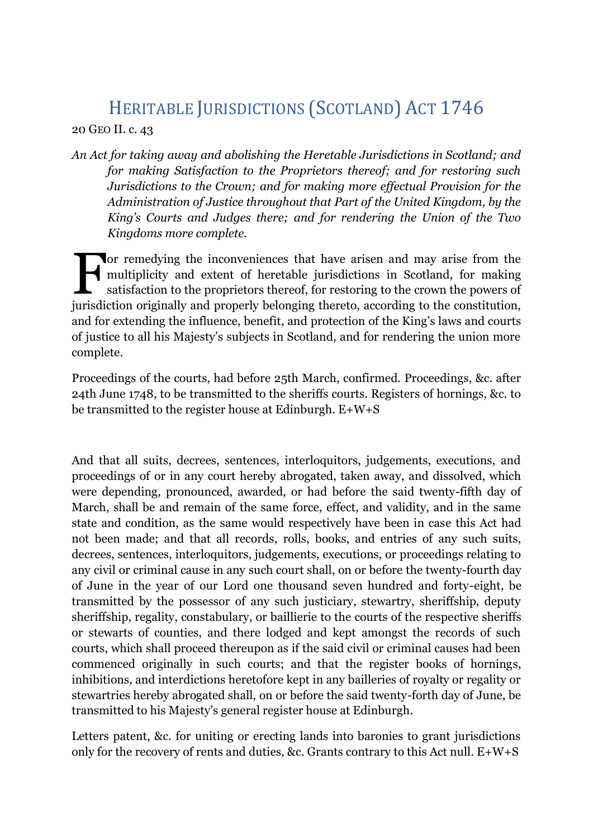## HERITABLE JURISDICTIONS (SCOTLAND) ACT 1746

20 GEO II. c. 43

*An Act for taking away and abolishing the Heretable Jurisdictions in Scotland; and for making Satisfaction to the Proprietors thereof; and for restoring such Jurisdictions to the Crown; and for making more effectual Provision for the Administration of Justice throughout that Part of the United Kingdom, by the King's Courts and Judges there; and for rendering the Union of the Two Kingdoms more complete.*

or remedying the inconveniences that have arisen and may arise from the multiplicity and extent of heretable jurisdictions in Scotland, for making satisfaction to the proprietors thereof, for restoring to the crown the powers of For remedying the inconveniences that have arisen and may arise from the multiplicity and extent of heretable jurisdictions in Scotland, for making satisfaction to the proprietors thereof, for restoring to the crown the po and for extending the influence, benefit, and protection of the King's laws and courts of justice to all his Majesty's subjects in Scotland, and for rendering the union more complete.

Proceedings of the courts, had before 25th March, confirmed. Proceedings, &c. after 24th June 1748, to be transmitted to the sheriffs courts. Registers of hornings, &c. to be transmitted to the register house at Edinburgh. E+W+S

And that all suits, decrees, sentences, interloquitors, judgements, executions, and proceedings of or in any court hereby abrogated, taken away, and dissolved, which were depending, pronounced, awarded, or had before the said twenty-fifth day of March, shall be and remain of the same force, effect, and validity, and in the same state and condition, as the same would respectively have been in case this Act had not been made; and that all records, rolls, books, and entries of any such suits, decrees, sentences, interloquitors, judgements, executions, or proceedings relating to any civil or criminal cause in any such court shall, on or before the twenty-fourth day of June in the year of our Lord one thousand seven hundred and forty-eight, be transmitted by the possessor of any such justiciary, stewartry, sheriffship, deputy sheriffship, regality, constabulary, or baillierie to the courts of the respective sheriffs or stewarts of counties, and there lodged and kept amongst the records of such courts, which shall proceed thereupon as if the said civil or criminal causes had been commenced originally in such courts; and that the register books of hornings, inhibitions, and interdictions heretofore kept in any bailleries of royalty or regality or stewartries hereby abrogated shall, on or before the said twenty-forth day of June, be transmitted to his Majesty's general register house at Edinburgh.

Letters patent, &c. for uniting or erecting lands into baronies to grant jurisdictions only for the recovery of rents and duties, &c. Grants contrary to this Act null. E+W+S